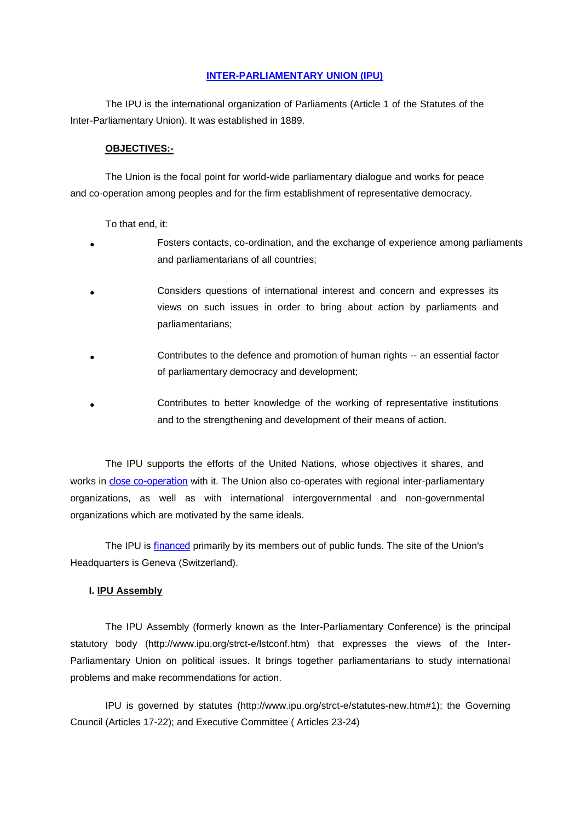## **[INTER-PARLIAMENTARY UNION \(IPU\)](http://www.ipu.org/)**

The IPU is the international organization of Parliaments (Article 1 of the Statutes of the Inter-Parliamentary Union). It was established in 1889.

#### **OBJECTIVES:-**

The Union is the focal point for world-wide parliamentary dialogue and works for peace and co-operation among peoples and for the firm establishment of representative democracy.

To that end, it:

- Fosters contacts, co-ordination, and the exchange of experience among parliaments and parliamentarians of all countries;
- Considers questions of international interest and concern and expresses its views on such issues in order to bring about action by parliaments and parliamentarians;
- Contributes to the defence and promotion of human rights -- an essential factor of parliamentary democracy and development;
- Contributes to better knowledge of the working of representative institutions and to the strengthening and development of their means of action.

The IPU supports the efforts of the United Nations, whose objectives it shares, and works in [close co-operation](http://www.ipu.org/strct-e/un.htm) with it. The Union also co-operates with regional inter-parliamentary organizations, as well as with international intergovernmental and non-governmental organizations which are motivated by the same ideals.

The IPU is [financed](http://www.ipu.org/finance-e/budget.htm) primarily by its members out of public funds. The site of the Union's Headquarters is Geneva (Switzerland).

#### **I. IPU Assembly**

The IPU Assembly (formerly known as the Inter-Parliamentary Conference) is the principal statutory body (http://www.ipu.org/strct-e/lstconf.htm) that expresses the views of the Inter-Parliamentary Union on political issues. It brings together parliamentarians to study international problems and make recommendations for action.

IPU is governed by statutes (http://www.ipu.org/strct-e/statutes-new.htm#1); the Governing Council (Articles 17-22); and Executive Committee ( Articles 23-24)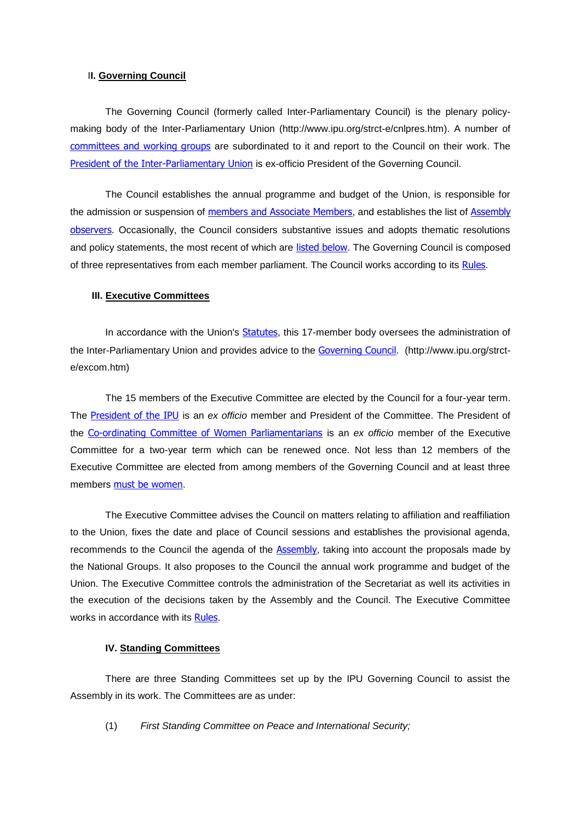## I**I. Governing Council**

The Governing Council (formerly called Inter-Parliamentary Council) is the plenary policymaking body of the Inter-Parliamentary Union (http://www.ipu.org/strct-e/cnlpres.htm). A number of [committees and working groups](http://www.ipu.org/strct-e/comtees.htm) are subordinated to it and report to the Council on their work. The [President of the Inter-Parliamentary Union](http://www.ipu.org/strct-e/presdnt.htm) is ex-officio President of the Governing Council.

The Council establishes the annual programme and budget of the Union, is responsible for the admission or suspension of [members and Associate Members](http://www.ipu.org/english/membshp.htm), and establishes the list of Assembly [observers](http://www.ipu.org/strct-e/obsrv-new.htm). Occasionally, the Council considers substantive issues and adopts thematic resolutions and policy statements, the most recent of which are [listed below](http://www.ipu.org/strct-e/cnlpres.htm#Resolutions). The Governing Council is composed of three representatives from each member parliament. The Council works according to its [Rules](http://www.ipu.org/strct-e/cnlrules-new.htm).

#### **III. Executive Committees**

In accordance with the Union's [Statutes](http://www.ipu.org/strct-e/statutes-new.htm), this 17-member body oversees the administration of the Inter-Parliamentary Union and provides advice to the [Governing Council](http://www.ipu.org/strct-e/cnlpres.htm). (http://www.ipu.org/strcte/excom.htm)

The 15 members of the Executive Committee are elected by the Council for a four-year term. The [President of the IPU](http://www.ipu.org/strct-e/presdnt.htm) is an *ex officio* member and President of the Committee. The President of the [Co-ordinating Committee of Women Parliamentarians](http://www.ipu.org/strct-e/comtees.htm#women) is an *ex officio* member of the Executive Committee for a two-year term which can be renewed once. Not less than 12 members of the Executive Committee are elected from among members of the Governing Council and at least three members [must be women](http://www.ipu.org/iss-e/women.htm).

The Executive Committee advises the Council on matters relating to affiliation and reaffiliation to the Union, fixes the date and place of Council sessions and establishes the provisional agenda, recommends to the Council the agenda of the [Assembly](http://www.ipu.org/strct-e/lstconf.htm), taking into account the proposals made by the National Groups. It also proposes to the Council the annual work programme and budget of the Union. The Executive Committee controls the administration of the Secretariat as well its activities in the execution of the decisions taken by the Assembly and the Council. The Executive Committee works in accordance with its [Rules](http://www.ipu.org/strct-e/exrules-new.htm).

## **IV. Standing Committees**

There are three Standing Committees set up by the IPU Governing Council to assist the Assembly in its work. The Committees are as under:

(1) *First Standing Committee on Peace and International Security;*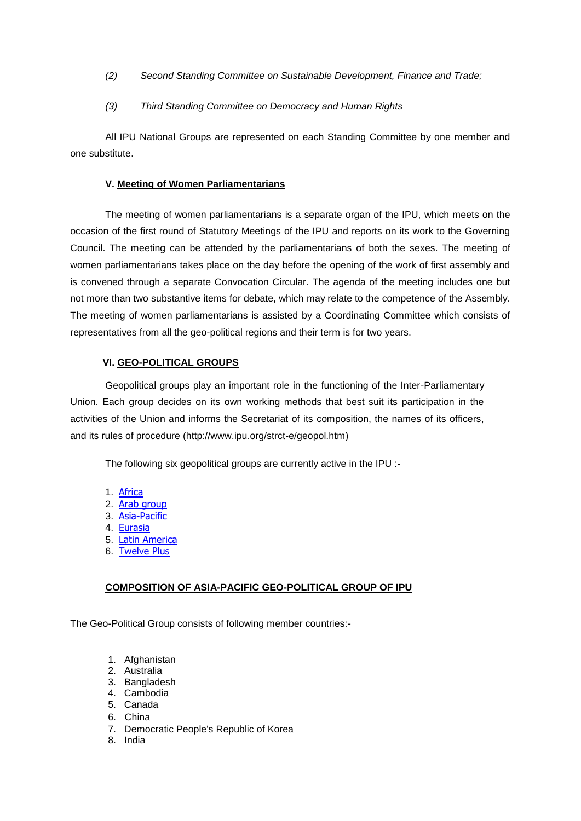- *(2) Second Standing Committee on Sustainable Development, Finance and Trade;*
- *(3) Third Standing Committee on Democracy and Human Rights*

All IPU National Groups are represented on each Standing Committee by one member and one substitute.

## **V. Meeting of Women Parliamentarians**

The meeting of women parliamentarians is a separate organ of the IPU, which meets on the occasion of the first round of Statutory Meetings of the IPU and reports on its work to the Governing Council. The meeting can be attended by the parliamentarians of both the sexes. The meeting of women parliamentarians takes place on the day before the opening of the work of first assembly and is convened through a separate Convocation Circular. The agenda of the meeting includes one but not more than two substantive items for debate, which may relate to the competence of the Assembly. The meeting of women parliamentarians is assisted by a Coordinating Committee which consists of representatives from all the geo-political regions and their term is for two years.

# **VI. GEO-POLITICAL GROUPS**

Geopolitical groups play an important role in the functioning of the Inter-Parliamentary Union. Each group decides on its own working methods that best suit its participation in the activities of the Union and informs the Secretariat of its composition, the names of its officers, and its rules of procedure (http://www.ipu.org/strct-e/geopol.htm)

The following six geopolitical groups are currently active in the IPU :-

- 1. [Africa](http://www.ipu.org/strct-e/geopol.htm#Africa)
- 2. [Arab group](http://www.ipu.org/strct-e/geopol.htm#Arab)
- 3. [Asia-Pacific](http://www.ipu.org/strct-e/geopol.htm#Asia)
- 4. [Eurasia](http://www.ipu.org/strct-e/geopol.htm#Eurasia)
- 5. [Latin America](http://www.ipu.org/strct-e/geopol.htm#Latin)
- 6. [Twelve Plus](http://www.ipu.org/strct-e/geopol.htm#12+)

# **COMPOSITION OF ASIA-PACIFIC GEO-POLITICAL GROUP OF IPU**

The Geo-Political Group consists of following member countries:-

- 1. Afghanistan
- 2. Australia
- 3. Bangladesh
- 4. Cambodia
- 5. Canada
- 6. China
- 7. Democratic People's Republic of Korea
- 8. India